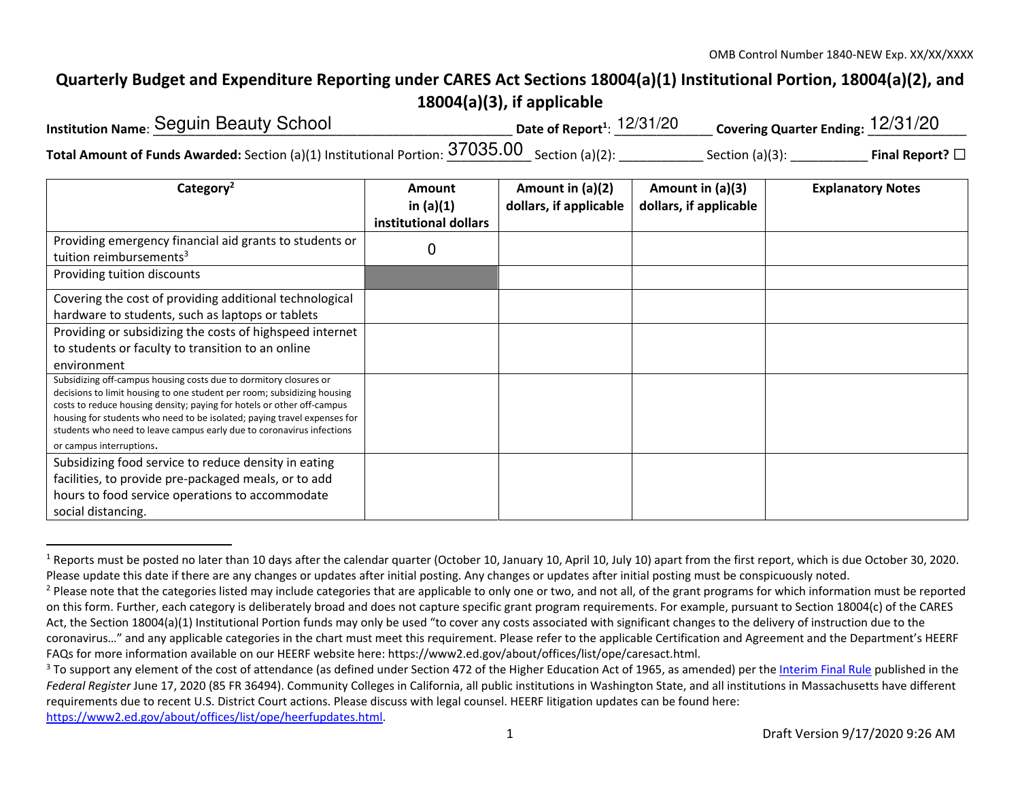## **Quarterly Budget and Expenditure Reporting under CARES Act Sections 18004(a)(1) Institutional Portion, 18004(a)(2), and 18004(a)(3), if applicable**

| <b>Institution Name: Seguin Beauty School</b>                                                             | Date of Report <sup>1</sup> : $12/31/20$ | Covering Quarter Ending: $12/31/20$ |                      |
|-----------------------------------------------------------------------------------------------------------|------------------------------------------|-------------------------------------|----------------------|
| Total Amount of Funds Awarded: Section (a)(1) Institutional Portion: $\frac{37035.00}{5}$ Section (a)(2): |                                          | Section $(a)(3)$ :                  | Final Report? $\Box$ |

| Category <sup>2</sup>                                                                                                                                                                                                                                                                                                                                                       | <b>Amount</b><br>in $(a)(1)$<br>institutional dollars | Amount in (a)(2)<br>dollars, if applicable | Amount in (a)(3)<br>dollars, if applicable | <b>Explanatory Notes</b> |
|-----------------------------------------------------------------------------------------------------------------------------------------------------------------------------------------------------------------------------------------------------------------------------------------------------------------------------------------------------------------------------|-------------------------------------------------------|--------------------------------------------|--------------------------------------------|--------------------------|
| Providing emergency financial aid grants to students or<br>tuition reimbursements <sup>3</sup>                                                                                                                                                                                                                                                                              | O                                                     |                                            |                                            |                          |
| Providing tuition discounts                                                                                                                                                                                                                                                                                                                                                 |                                                       |                                            |                                            |                          |
| Covering the cost of providing additional technological<br>hardware to students, such as laptops or tablets                                                                                                                                                                                                                                                                 |                                                       |                                            |                                            |                          |
| Providing or subsidizing the costs of highspeed internet<br>to students or faculty to transition to an online                                                                                                                                                                                                                                                               |                                                       |                                            |                                            |                          |
| environment                                                                                                                                                                                                                                                                                                                                                                 |                                                       |                                            |                                            |                          |
| Subsidizing off-campus housing costs due to dormitory closures or<br>decisions to limit housing to one student per room; subsidizing housing<br>costs to reduce housing density; paying for hotels or other off-campus<br>housing for students who need to be isolated; paying travel expenses for<br>students who need to leave campus early due to coronavirus infections |                                                       |                                            |                                            |                          |
| or campus interruptions.                                                                                                                                                                                                                                                                                                                                                    |                                                       |                                            |                                            |                          |
| Subsidizing food service to reduce density in eating<br>facilities, to provide pre-packaged meals, or to add<br>hours to food service operations to accommodate<br>social distancing.                                                                                                                                                                                       |                                                       |                                            |                                            |                          |

<sup>&</sup>lt;sup>1</sup> Reports must be posted no later than 10 days after the calendar quarter (October 10, January 10, April 10, July 10) apart from the first report, which is due October 30, 2020. Please update this date if there are any changes or updates after initial posting. Any changes or updates after initial posting must be conspicuously noted.

https://www2.ed.gov/about/offices/list/ope/heerfupdates.html.

<sup>&</sup>lt;sup>2</sup> Please note that the categories listed may include categories that are applicable to only one or two, and not all, of the grant programs for which information must be reported on this form. Further, each category is deliberately broad and does not capture specific grant program requirements. For example, pursuant to Section 18004(c) of the CARES Act, the Section 18004(a)(1) Institutional Portion funds may only be used "to cover any costs associated with significant changes to the delivery of instruction due to the coronavirus…" and any applicable categories in the chart must meet this requirement. Please refer to the applicable Certification and Agreement and the Department's HEERF FAQs for more information available on our HEERF website here: https://www2.ed.gov/about/offices/list/ope/caresact.html.

<sup>&</sup>lt;sup>3</sup> To support any element of the cost of attendance (as defined under Section 472 of the Higher Education Act of 1965, as amended) per the Interim Final Rule published in the *Federal Register* June 17, 2020 (85 FR 36494). Community Colleges in California, all public institutions in Washington State, and all institutions in Massachusetts have different requirements due to recent U.S. District Court actions. Please discuss with legal counsel. HEERF litigation updates can be found here: